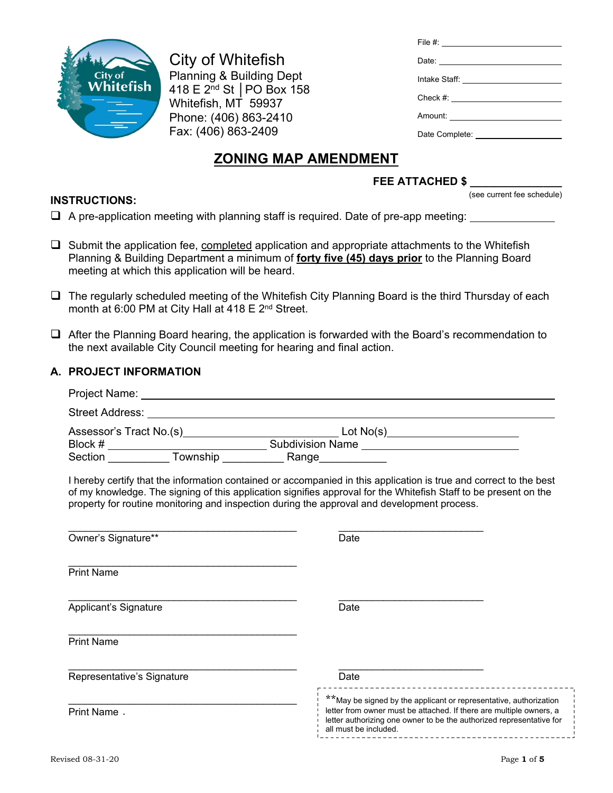

City of Whitefish Planning & Building Dept 418 E 2nd St │PO Box 158 Whitefish, MT 59937 Phone: (406) 863-2410 Fax: (406) 863-2409

| File #: ____________________          |
|---------------------------------------|
|                                       |
| Intake Staff: _______________________ |
|                                       |
| Check #: ______________________       |
|                                       |
| Date Complete: <b>Example 20</b>      |

# **ZONING MAP AMENDMENT**

# **FEE ATTACHED \$ \_\_\_\_\_\_\_\_\_\_\_\_\_\_\_**

(see current fee schedule)

**INSTRUCTIONS:**  $\Box$  A pre-application meeting with planning staff is required. Date of pre-app meeting:

- $\Box$  Submit the application fee, completed application and appropriate attachments to the Whitefish Planning & Building Department a minimum of **forty five (45) days prior** to the Planning Board meeting at which this application will be heard.
- The regularly scheduled meeting of the Whitefish City Planning Board is the third Thursday of each month at 6:00 PM at City Hall at 418 E 2<sup>nd</sup> Street.
- $\Box$  After the Planning Board hearing, the application is forwarded with the Board's recommendation to the next available City Council meeting for hearing and final action.

## **A. PROJECT INFORMATION**

| I hereby certify that the information contained or accompanied in this application is true and correct to the best<br>of my knowledge. The signing of this application signifies approval for the Whitefish Staff to be present on the<br>property for routine monitoring and inspection during the approval and development process. |                                                                                                                                                                                                                                            |  |  |  |
|---------------------------------------------------------------------------------------------------------------------------------------------------------------------------------------------------------------------------------------------------------------------------------------------------------------------------------------|--------------------------------------------------------------------------------------------------------------------------------------------------------------------------------------------------------------------------------------------|--|--|--|
| Owner's Signature**                                                                                                                                                                                                                                                                                                                   | Date                                                                                                                                                                                                                                       |  |  |  |
| <b>Print Name</b>                                                                                                                                                                                                                                                                                                                     |                                                                                                                                                                                                                                            |  |  |  |
| Applicant's Signature                                                                                                                                                                                                                                                                                                                 | Date                                                                                                                                                                                                                                       |  |  |  |
| <b>Print Name</b>                                                                                                                                                                                                                                                                                                                     |                                                                                                                                                                                                                                            |  |  |  |
| Representative's Signature                                                                                                                                                                                                                                                                                                            | Date<br>---------------------------------                                                                                                                                                                                                  |  |  |  |
| Print Name.                                                                                                                                                                                                                                                                                                                           | ** May be signed by the applicant or representative, authorization<br>letter from owner must be attached. If there are multiple owners, a<br>letter authorizing one owner to be the authorized representative for<br>all must be included. |  |  |  |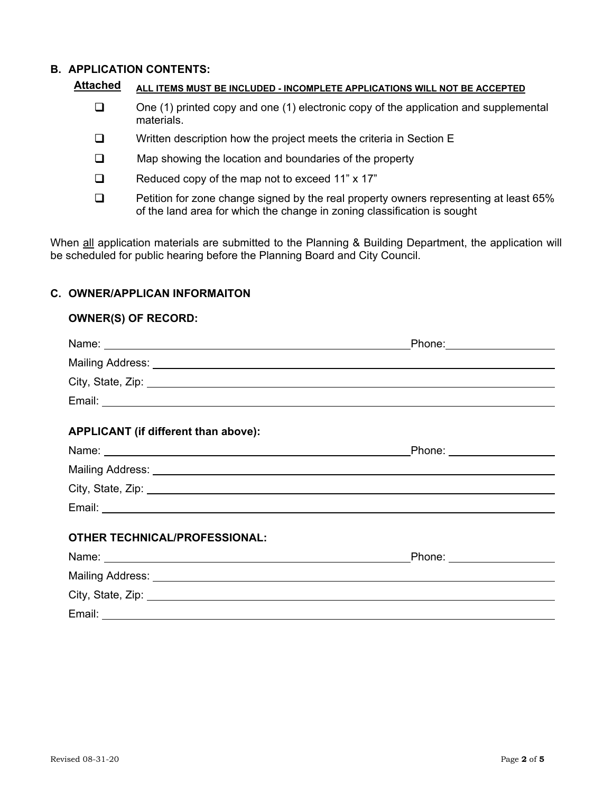#### **B. APPLICATION CONTENTS:**

| Attached<br>ALL ITEMS MUST BE INCLUDED - INCOMPLETE APPLICATIONS WILL NOT BE ACCEPTED |  |
|---------------------------------------------------------------------------------------|--|
|---------------------------------------------------------------------------------------|--|

- $\Box$  One (1) printed copy and one (1) electronic copy of the application and supplemental materials.
- $\Box$  Written description how the project meets the criteria in Section E
- $\Box$  Map showing the location and boundaries of the property
- Reduced copy of the map not to exceed 11" x 17"
- □ Petition for zone change signed by the real property owners representing at least 65% of the land area for which the change in zoning classification is sought

When all application materials are submitted to the Planning & Building Department, the application will be scheduled for public hearing before the Planning Board and City Council.

### **C. OWNER/APPLICAN INFORMAITON**

#### **OWNER(S) OF RECORD:**

|                                                                                                                                                                                                                                | Phone: 2000 2010 2020 2020 2020 2020 2021 2022 2021 2021 2021 2021 2021 2021 2021 2021 2021 2021 2021 2021 20 |
|--------------------------------------------------------------------------------------------------------------------------------------------------------------------------------------------------------------------------------|---------------------------------------------------------------------------------------------------------------|
|                                                                                                                                                                                                                                |                                                                                                               |
| City, State, Zip: 2008. City, State, 2008. City, State, 2008. City, State, 2008. City, State, 2008.                                                                                                                            |                                                                                                               |
|                                                                                                                                                                                                                                |                                                                                                               |
| APPLICANT (if different than above):                                                                                                                                                                                           |                                                                                                               |
|                                                                                                                                                                                                                                | Phone: _________________                                                                                      |
| Mailing Address: Universe of the Contract of the Contract of the Contract of the Contract of the Contract of the Contract of the Contract of the Contract of the Contract of the Contract of the Contract of the Contract of t |                                                                                                               |
| City, State, Zip: 2008. City, State, 2008. City, State, 2008. City, State, 2008.                                                                                                                                               |                                                                                                               |
|                                                                                                                                                                                                                                |                                                                                                               |
| <b>OTHER TECHNICAL/PROFESSIONAL:</b>                                                                                                                                                                                           |                                                                                                               |
|                                                                                                                                                                                                                                | _Phone: ____________________                                                                                  |
|                                                                                                                                                                                                                                |                                                                                                               |
| City, State, Zip: 2008. City, State, 2008. City, State, 2008. City, State, 2008. City, State, 2008.                                                                                                                            |                                                                                                               |
| Email:                                                                                                                                                                                                                         |                                                                                                               |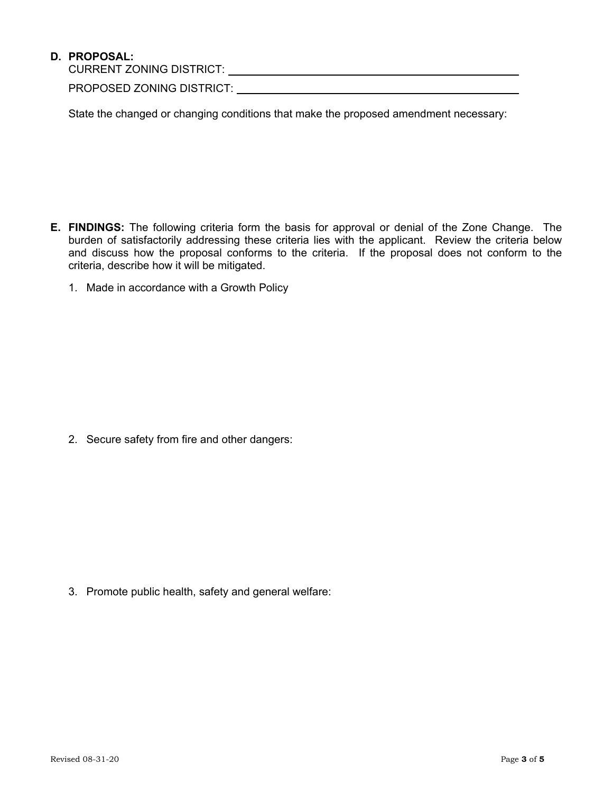## **D. PROPOSAL:**

CURRENT ZONING DISTRICT:

PROPOSED ZONING DISTRICT:

State the changed or changing conditions that make the proposed amendment necessary:

- **E. FINDINGS:** The following criteria form the basis for approval or denial of the Zone Change. The burden of satisfactorily addressing these criteria lies with the applicant. Review the criteria below and discuss how the proposal conforms to the criteria. If the proposal does not conform to the criteria, describe how it will be mitigated.
	- 1. Made in accordance with a Growth Policy

2. Secure safety from fire and other dangers:

3. Promote public health, safety and general welfare: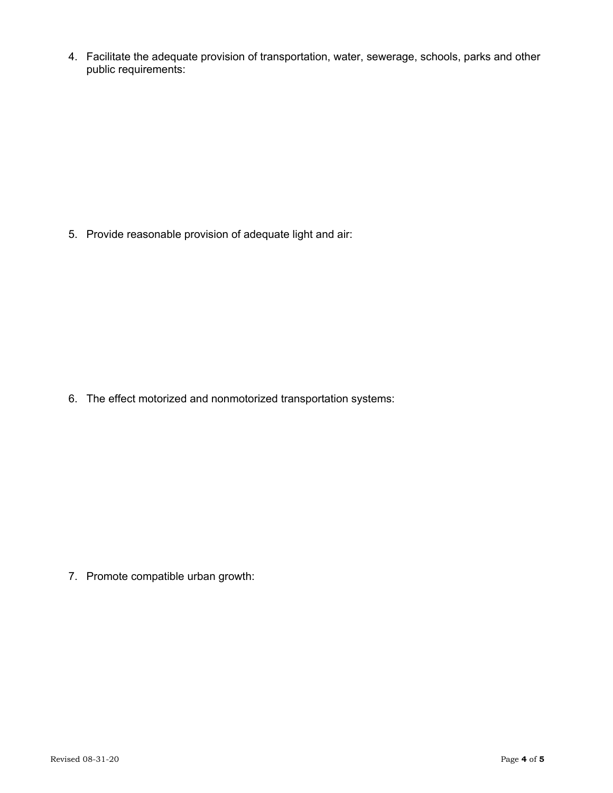4. Facilitate the adequate provision of transportation, water, sewerage, schools, parks and other public requirements:

5. Provide reasonable provision of adequate light and air:

6. The effect motorized and nonmotorized transportation systems:

7. Promote compatible urban growth: